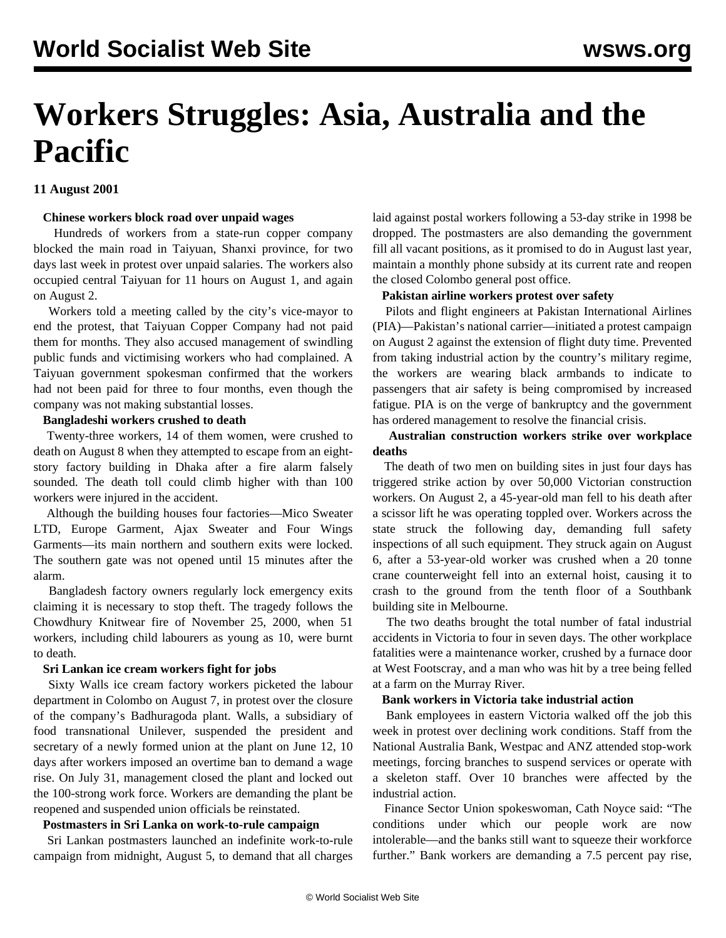# **Workers Struggles: Asia, Australia and the Pacific**

## **11 August 2001**

#### **Chinese workers block road over unpaid wages**

 Hundreds of workers from a state-run copper company blocked the main road in Taiyuan, Shanxi province, for two days last week in protest over unpaid salaries. The workers also occupied central Taiyuan for 11 hours on August 1, and again on August 2.

 Workers told a meeting called by the city's vice-mayor to end the protest, that Taiyuan Copper Company had not paid them for months. They also accused management of swindling public funds and victimising workers who had complained. A Taiyuan government spokesman confirmed that the workers had not been paid for three to four months, even though the company was not making substantial losses.

#### **Bangladeshi workers crushed to death**

 Twenty-three workers, 14 of them women, were crushed to death on August 8 when they attempted to escape from an eightstory factory building in Dhaka after a fire alarm falsely sounded. The death toll could climb higher with than 100 workers were injured in the accident.

 Although the building houses four factories—Mico Sweater LTD, Europe Garment, Ajax Sweater and Four Wings Garments—its main northern and southern exits were locked. The southern gate was not opened until 15 minutes after the alarm.

 Bangladesh factory owners regularly lock emergency exits claiming it is necessary to stop theft. The tragedy follows the Chowdhury Knitwear fire of November 25, 2000, when 51 workers, including child labourers as young as 10, were burnt to death.

#### **Sri Lankan ice cream workers fight for jobs**

 Sixty Walls ice cream factory workers picketed the labour department in Colombo on August 7, in protest over the closure of the company's Badhuragoda plant. Walls, a subsidiary of food transnational Unilever, suspended the president and secretary of a newly formed union at the plant on June 12, 10 days after workers imposed an overtime ban to demand a wage rise. On July 31, management closed the plant and locked out the 100-strong work force. Workers are demanding the plant be reopened and suspended union officials be reinstated.

#### **Postmasters in Sri Lanka on work-to-rule campaign**

 Sri Lankan postmasters launched an indefinite work-to-rule campaign from midnight, August 5, to demand that all charges laid against postal workers following a 53-day strike in 1998 be dropped. The postmasters are also demanding the government fill all vacant positions, as it promised to do in August last year, maintain a monthly phone subsidy at its current rate and reopen the closed Colombo general post office.

#### **Pakistan airline workers protest over safety**

 Pilots and flight engineers at Pakistan International Airlines (PIA)—Pakistan's national carrier—initiated a protest campaign on August 2 against the extension of flight duty time. Prevented from taking industrial action by the country's military regime, the workers are wearing black armbands to indicate to passengers that air safety is being compromised by increased fatigue. PIA is on the verge of bankruptcy and the government has ordered management to resolve the financial crisis.

## **Australian construction workers strike over workplace deaths**

 The death of two men on building sites in just four days has triggered strike action by over 50,000 Victorian construction workers. On August 2, a 45-year-old man fell to his death after a scissor lift he was operating toppled over. Workers across the state struck the following day, demanding full safety inspections of all such equipment. They struck again on August 6, after a 53-year-old worker was crushed when a 20 tonne crane counterweight fell into an external hoist, causing it to crash to the ground from the tenth floor of a Southbank building site in Melbourne.

 The two deaths brought the total number of fatal industrial accidents in Victoria to four in seven days. The other workplace fatalities were a maintenance worker, crushed by a furnace door at West Footscray, and a man who was hit by a tree being felled at a farm on the Murray River.

## **Bank workers in Victoria take industrial action**

 Bank employees in eastern Victoria walked off the job this week in protest over declining work conditions. Staff from the National Australia Bank, Westpac and ANZ attended stop-work meetings, forcing branches to suspend services or operate with a skeleton staff. Over 10 branches were affected by the industrial action.

 Finance Sector Union spokeswoman, Cath Noyce said: "The conditions under which our people work are now intolerable—and the banks still want to squeeze their workforce further." Bank workers are demanding a 7.5 percent pay rise,